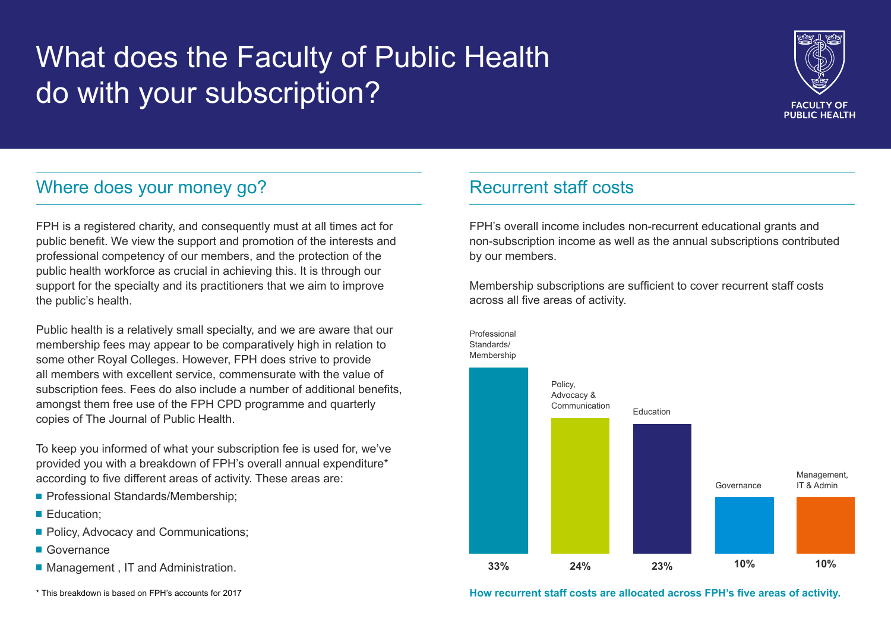# What does the Faculty of Public Health do with your subscription?



# Where does your money go?

FPH is a registered charity, and consequently must at all times act for public benefit. We view the support and promotion of the interests and professional competency of our members, and the protection of the public health workforce as crucial in achieving this. It is through our support for the specialty and its practitioners that we aim to improve the public's health.

Public health is a relatively small specialty, and we are aware that our membership fees may appear to be comparatively high in relation to some other Royal Colleges. However, FPH does strive to provide all members with excellent service, commensurate with the value of subscription fees. Fees do also include a number of additional benefits, amongst them free use of the FPH CPD programme and quarterly copies of The Journal of Public Health.

To keep you informed of what your subscription fee is used for, we've provided you with a breakdown of FPH's overall annual expenditure\* according to five different areas of activity. These areas are:

- **Professional Standards/Membership;**
- **Education:**
- **Policy, Advocacy and Communications;**
- **Governance**
- Management, IT and Administration.

\* This breakdown is based on FPH's accounts for 2017

## Recurrent staff costs

FPH's overall income includes non-recurrent educational grants and non-subscription income as well as the annual subscriptions contributed by our members.

Membership subscriptions are sufficient to cover recurrent staff costs across all five areas of activity.



**How recurrent staff costs are allocated across FPH's five areas of activity.**